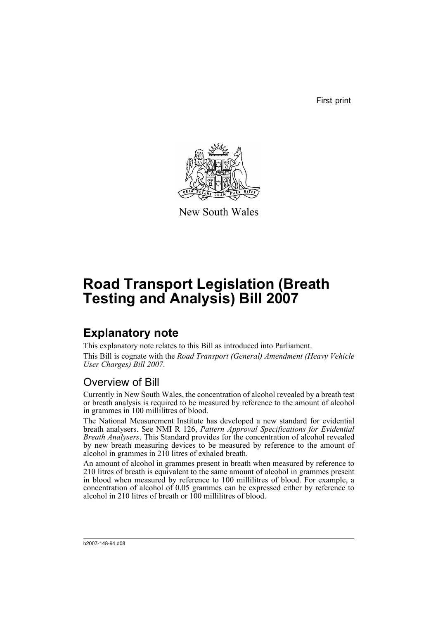First print



New South Wales

# **Road Transport Legislation (Breath Testing and Analysis) Bill 2007**

## **Explanatory note**

This explanatory note relates to this Bill as introduced into Parliament. This Bill is cognate with the *Road Transport (General) Amendment (Heavy Vehicle User Charges) Bill 2007*.

## Overview of Bill

Currently in New South Wales, the concentration of alcohol revealed by a breath test or breath analysis is required to be measured by reference to the amount of alcohol in grammes in 100 millilitres of blood.

The National Measurement Institute has developed a new standard for evidential breath analysers. See NMI R 126, *Pattern Approval Specifications for Evidential Breath Analysers*. This Standard provides for the concentration of alcohol revealed by new breath measuring devices to be measured by reference to the amount of alcohol in grammes in 210 litres of exhaled breath.

An amount of alcohol in grammes present in breath when measured by reference to 210 litres of breath is equivalent to the same amount of alcohol in grammes present in blood when measured by reference to 100 millilitres of blood. For example, a concentration of alcohol of  $0.05$  grammes can be expressed either by reference to alcohol in 210 litres of breath or 100 millilitres of blood.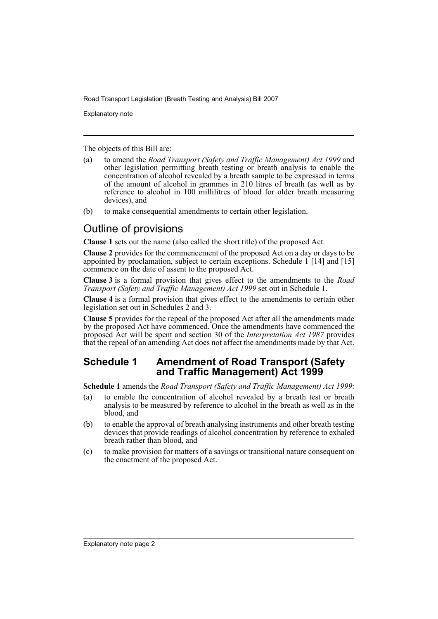Explanatory note

The objects of this Bill are:

- (a) to amend the *Road Transport (Safety and Traffic Management) Act 1999* and other legislation permitting breath testing or breath analysis to enable the concentration of alcohol revealed by a breath sample to be expressed in terms of the amount of alcohol in grammes in 210 litres of breath (as well as by reference to alcohol in 100 millilitres of blood for older breath measuring devices), and
- (b) to make consequential amendments to certain other legislation.

## Outline of provisions

**Clause 1** sets out the name (also called the short title) of the proposed Act.

**Clause 2** provides for the commencement of the proposed Act on a day or days to be appointed by proclamation, subject to certain exceptions. Schedule  $1 \mid 14 \mid$  and  $\mid 15 \mid$ commence on the date of assent to the proposed Act.

**Clause 3** is a formal provision that gives effect to the amendments to the *Road Transport (Safety and Traffic Management) Act 1999* set out in Schedule 1.

**Clause 4** is a formal provision that gives effect to the amendments to certain other legislation set out in Schedules 2 and 3.

**Clause 5** provides for the repeal of the proposed Act after all the amendments made by the proposed Act have commenced. Once the amendments have commenced the proposed Act will be spent and section 30 of the *Interpretation Act 1987* provides that the repeal of an amending Act does not affect the amendments made by that Act.

### **Schedule 1 Amendment of Road Transport (Safety and Traffic Management) Act 1999**

**Schedule 1** amends the *Road Transport (Safety and Traffic Management) Act 1999*:

- (a) to enable the concentration of alcohol revealed by a breath test or breath analysis to be measured by reference to alcohol in the breath as well as in the blood, and
- (b) to enable the approval of breath analysing instruments and other breath testing devices that provide readings of alcohol concentration by reference to exhaled breath rather than blood, and
- (c) to make provision for matters of a savings or transitional nature consequent on the enactment of the proposed Act.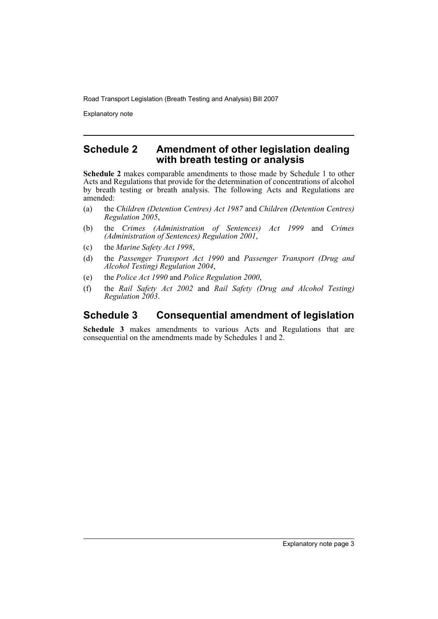Explanatory note

### **Schedule 2 Amendment of other legislation dealing with breath testing or analysis**

**Schedule 2** makes comparable amendments to those made by Schedule 1 to other Acts and Regulations that provide for the determination of concentrations of alcohol by breath testing or breath analysis. The following Acts and Regulations are amended:

- (a) the *Children (Detention Centres) Act 1987* and *Children (Detention Centres) Regulation 2005*,
- (b) the *Crimes (Administration of Sentences) Act 1999* and *Crimes (Administration of Sentences) Regulation 2001*,
- (c) the *Marine Safety Act 1998*,
- (d) the *Passenger Transport Act 1990* and *Passenger Transport (Drug and Alcohol Testing) Regulation 2004*,
- (e) the *Police Act 1990* and *Police Regulation 2000*,
- (f) the *Rail Safety Act 2002* and *Rail Safety (Drug and Alcohol Testing) Regulation 2003*.

## **Schedule 3 Consequential amendment of legislation**

**Schedule 3** makes amendments to various Acts and Regulations that are consequential on the amendments made by Schedules 1 and 2.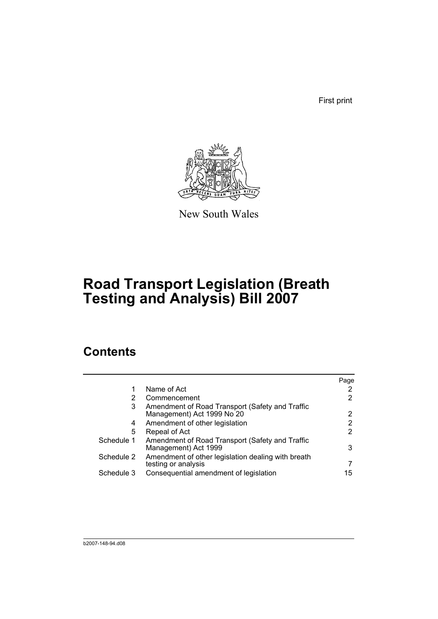First print



New South Wales

# **Road Transport Legislation (Breath Testing and Analysis) Bill 2007**

## **Contents**

|            |                                                                               | Page |
|------------|-------------------------------------------------------------------------------|------|
| 1          | Name of Act                                                                   |      |
| 2          | Commencement                                                                  | 2    |
| 3          | Amendment of Road Transport (Safety and Traffic<br>Management) Act 1999 No 20 | 2    |
| 4          | Amendment of other legislation                                                | 2    |
| 5          | Repeal of Act                                                                 | 2    |
| Schedule 1 | Amendment of Road Transport (Safety and Traffic<br>Management) Act 1999       | 3    |
| Schedule 2 | Amendment of other legislation dealing with breath<br>testing or analysis     |      |
| Schedule 3 | Consequential amendment of legislation                                        | 15   |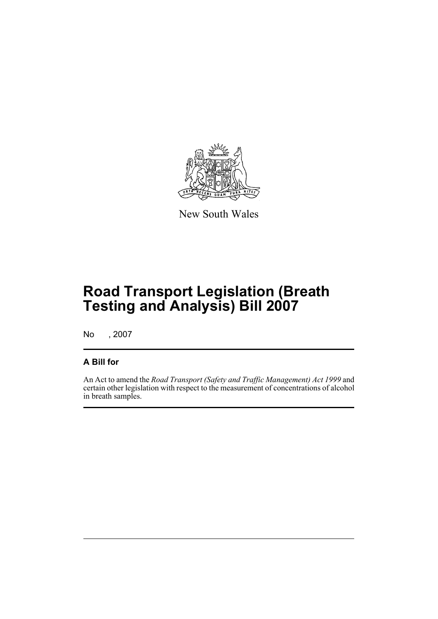

New South Wales

# **Road Transport Legislation (Breath Testing and Analysis) Bill 2007**

No , 2007

### **A Bill for**

An Act to amend the *Road Transport (Safety and Traffic Management) Act 1999* and certain other legislation with respect to the measurement of concentrations of alcohol in breath samples.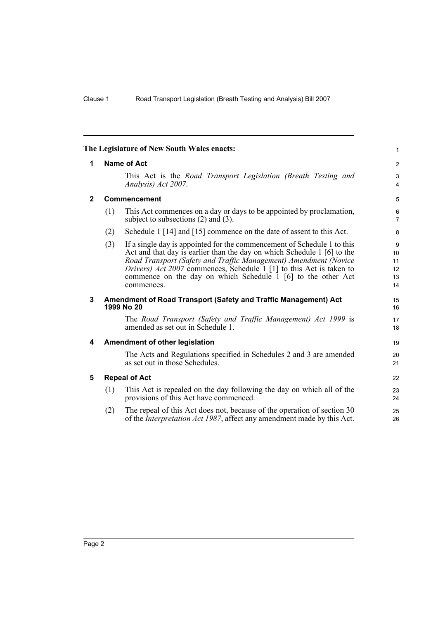<span id="page-7-4"></span><span id="page-7-3"></span><span id="page-7-2"></span><span id="page-7-1"></span><span id="page-7-0"></span>

|              |                    | The Legislature of New South Wales enacts:                                                                                                                                                                                                                                                                                                                                  | $\mathbf{1}$                    |
|--------------|--------------------|-----------------------------------------------------------------------------------------------------------------------------------------------------------------------------------------------------------------------------------------------------------------------------------------------------------------------------------------------------------------------------|---------------------------------|
| 1            | <b>Name of Act</b> |                                                                                                                                                                                                                                                                                                                                                                             |                                 |
|              |                    | This Act is the Road Transport Legislation (Breath Testing and<br>Analysis) Act 2007.                                                                                                                                                                                                                                                                                       | 3<br>$\overline{4}$             |
| $\mathbf{2}$ |                    | Commencement                                                                                                                                                                                                                                                                                                                                                                | 5                               |
|              | (1)                | This Act commences on a day or days to be appointed by proclamation,<br>subject to subsections $(2)$ and $(3)$ .                                                                                                                                                                                                                                                            | 6<br>$\overline{7}$             |
|              | (2)                | Schedule 1 [14] and [15] commence on the date of assent to this Act.                                                                                                                                                                                                                                                                                                        | 8                               |
|              | (3)                | If a single day is appointed for the commencement of Schedule 1 to this<br>Act and that day is earlier than the day on which Schedule 1 [6] to the<br>Road Transport (Safety and Traffic Management) Amendment (Novice<br>Drivers) Act 2007 commences, Schedule 1 [1] to this Act is taken to<br>commence on the day on which Schedule 1 [6] to the other Act<br>commences. | 9<br>10<br>11<br>12<br>13<br>14 |
| 3            |                    | Amendment of Road Transport (Safety and Traffic Management) Act<br>1999 No 20                                                                                                                                                                                                                                                                                               | 15<br>16                        |
|              |                    | The Road Transport (Safety and Traffic Management) Act 1999 is<br>amended as set out in Schedule 1.                                                                                                                                                                                                                                                                         | 17<br>18                        |
| 4            |                    | Amendment of other legislation                                                                                                                                                                                                                                                                                                                                              | 19                              |
|              |                    | The Acts and Regulations specified in Schedules 2 and 3 are amended<br>as set out in those Schedules.                                                                                                                                                                                                                                                                       | 20<br>21                        |
| 5            |                    | <b>Repeal of Act</b>                                                                                                                                                                                                                                                                                                                                                        | 22                              |
|              | (1)                | This Act is repealed on the day following the day on which all of the<br>provisions of this Act have commenced.                                                                                                                                                                                                                                                             | 23<br>24                        |
|              | (2)                | The repeal of this Act does not, because of the operation of section 30<br>of the <i>Interpretation Act 1987</i> , affect any amendment made by this Act.                                                                                                                                                                                                                   | 25<br>26                        |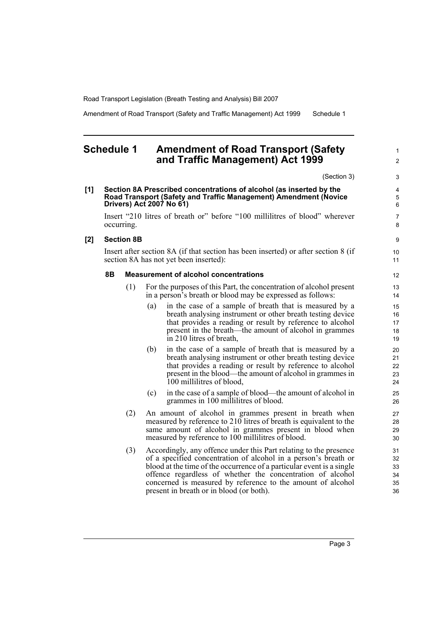Amendment of Road Transport (Safety and Traffic Management) Act 1999 Schedule 1

### <span id="page-8-0"></span>**Schedule 1 Amendment of Road Transport (Safety and Traffic Management) Act 1999**

(Section 3)

1  $\mathfrak{p}$ 

#### **[1] Section 8A Prescribed concentrations of alcohol (as inserted by the Road Transport (Safety and Traffic Management) Amendment (Novice Drivers) Act 2007 No 61)**

Insert "210 litres of breath or" before "100 millilitres of blood" wherever occurring.

#### **[2] Section 8B**

Insert after section 8A (if that section has been inserted) or after section 8 (if section 8A has not yet been inserted):

#### **8B Measurement of alcohol concentrations**

- (1) For the purposes of this Part, the concentration of alcohol present in a person's breath or blood may be expressed as follows:
	- (a) in the case of a sample of breath that is measured by a breath analysing instrument or other breath testing device that provides a reading or result by reference to alcohol present in the breath—the amount of alcohol in grammes in 210 litres of breath,
	- (b) in the case of a sample of breath that is measured by a breath analysing instrument or other breath testing device that provides a reading or result by reference to alcohol present in the blood—the amount of alcohol in grammes in 100 millilitres of blood,
	- (c) in the case of a sample of blood—the amount of alcohol in grammes in 100 millilitres of blood.
- (2) An amount of alcohol in grammes present in breath when measured by reference to 210 litres of breath is equivalent to the same amount of alcohol in grammes present in blood when measured by reference to 100 millilitres of blood.
- (3) Accordingly, any offence under this Part relating to the presence of a specified concentration of alcohol in a person's breath or blood at the time of the occurrence of a particular event is a single offence regardless of whether the concentration of alcohol concerned is measured by reference to the amount of alcohol present in breath or in blood (or both).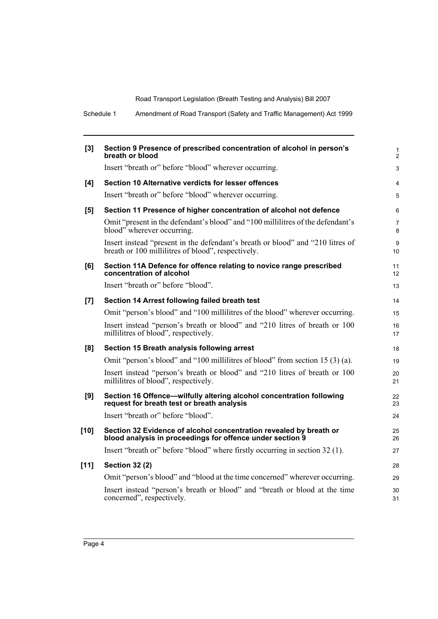Schedule 1 Amendment of Road Transport (Safety and Traffic Management) Act 1999

| [3]    | Section 9 Presence of prescribed concentration of alcohol in person's<br>breath or blood                                             | $\mathbf{1}$<br>$\overline{2}$ |
|--------|--------------------------------------------------------------------------------------------------------------------------------------|--------------------------------|
|        | Insert "breath or" before "blood" wherever occurring.                                                                                | 3                              |
| [4]    | Section 10 Alternative verdicts for lesser offences                                                                                  | $\overline{4}$                 |
|        | Insert "breath or" before "blood" wherever occurring.                                                                                | 5                              |
| [5]    | Section 11 Presence of higher concentration of alcohol not defence                                                                   | 6                              |
|        | Omit "present in the defendant's blood" and "100 millilitres of the defendant's<br>blood" wherever occurring.                        | $\overline{7}$<br>8            |
|        | Insert instead "present in the defendant's breath or blood" and "210 litres of<br>breath or 100 millilitres of blood", respectively. | 9<br>10 <sup>1</sup>           |
| [6]    | Section 11A Defence for offence relating to novice range prescribed<br>concentration of alcohol                                      | 11<br>12                       |
|        | Insert "breath or" before "blood".                                                                                                   | 13                             |
| [7]    | Section 14 Arrest following failed breath test                                                                                       | 14                             |
|        | Omit "person's blood" and "100 millilitres of the blood" wherever occurring.                                                         | 15                             |
|        | Insert instead "person's breath or blood" and "210 litres of breath or 100<br>millilitres of blood", respectively.                   | 16<br>17                       |
| [8]    | Section 15 Breath analysis following arrest                                                                                          | 18                             |
|        | Omit "person's blood" and "100 millilitres of blood" from section 15 (3) (a).                                                        | 19                             |
|        | Insert instead "person's breath or blood" and "210 litres of breath or 100<br>millilitres of blood", respectively.                   | 20<br>21                       |
| [9]    | Section 16 Offence—wilfully altering alcohol concentration following<br>request for breath test or breath analysis                   | 22<br>23                       |
|        | Insert "breath or" before "blood".                                                                                                   | 24                             |
| $[10]$ | Section 32 Evidence of alcohol concentration revealed by breath or<br>blood analysis in proceedings for offence under section 9      | 25<br>26                       |
|        | Insert "breath or" before "blood" where firstly occurring in section 32 (1).                                                         | 27                             |
| $[11]$ | <b>Section 32 (2)</b>                                                                                                                | 28                             |
|        | Omit "person's blood" and "blood at the time concerned" wherever occurring.                                                          | 29                             |
|        | Insert instead "person's breath or blood" and "breath or blood at the time<br>concerned", respectively.                              | 30<br>31                       |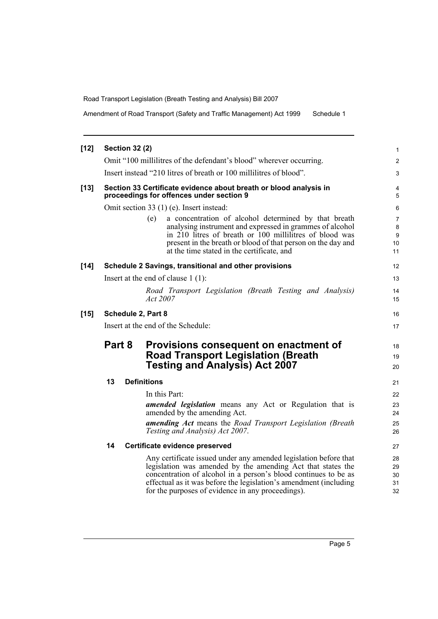Amendment of Road Transport (Safety and Traffic Management) Act 1999 Schedule 1

| $[12]$ |        | <b>Section 32 (2)</b> |                                                                                                                                                                                                                                                                                                                              | 1                          |
|--------|--------|-----------------------|------------------------------------------------------------------------------------------------------------------------------------------------------------------------------------------------------------------------------------------------------------------------------------------------------------------------------|----------------------------|
|        |        |                       | Omit "100 millilitres of the defendant's blood" wherever occurring.                                                                                                                                                                                                                                                          | $\overline{2}$             |
|        |        |                       | Insert instead "210 litres of breath or 100 millilitres of blood".                                                                                                                                                                                                                                                           | 3                          |
| $[13]$ |        |                       | Section 33 Certificate evidence about breath or blood analysis in<br>proceedings for offences under section 9                                                                                                                                                                                                                | 4<br>5                     |
|        |        |                       | Omit section 33 (1) (e). Insert instead:                                                                                                                                                                                                                                                                                     | 6                          |
|        |        |                       | a concentration of alcohol determined by that breath<br>(e)<br>analysing instrument and expressed in grammes of alcohol<br>in 210 litres of breath or 100 millilitres of blood was<br>present in the breath or blood of that person on the day and<br>at the time stated in the certificate, and                             | 7<br>8<br>9<br>10<br>11    |
| $[14]$ |        |                       | Schedule 2 Savings, transitional and other provisions                                                                                                                                                                                                                                                                        | 12                         |
|        |        |                       | Insert at the end of clause $1(1)$ :                                                                                                                                                                                                                                                                                         | 13                         |
|        |        |                       | Road Transport Legislation (Breath Testing and Analysis)<br>Act 2007                                                                                                                                                                                                                                                         | 14<br>15                   |
| $[15]$ |        |                       | Schedule 2, Part 8                                                                                                                                                                                                                                                                                                           | 16                         |
|        |        |                       | Insert at the end of the Schedule:                                                                                                                                                                                                                                                                                           | 17                         |
|        | Part 8 |                       | Provisions consequent on enactment of<br><b>Road Transport Legislation (Breath</b><br><b>Testing and Analysis) Act 2007</b>                                                                                                                                                                                                  | 18<br>19<br>20             |
|        | 13     |                       | <b>Definitions</b>                                                                                                                                                                                                                                                                                                           | 21                         |
|        |        |                       | In this Part:<br><b>amended legislation</b> means any Act or Regulation that is<br>amended by the amending Act.<br>amending Act means the Road Transport Legislation (Breath<br>Testing and Analysis) Act 2007.                                                                                                              | 22<br>23<br>24<br>25<br>26 |
|        | 14     |                       | Certificate evidence preserved                                                                                                                                                                                                                                                                                               | 27                         |
|        |        |                       | Any certificate issued under any amended legislation before that<br>legislation was amended by the amending Act that states the<br>concentration of alcohol in a person's blood continues to be as<br>effectual as it was before the legislation's amendment (including<br>for the purposes of evidence in any proceedings). | 28<br>29<br>30<br>31<br>32 |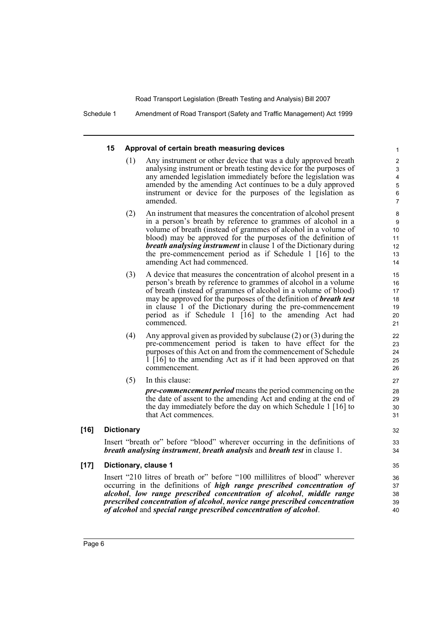Schedule 1 Amendment of Road Transport (Safety and Traffic Management) Act 1999

#### **15 Approval of certain breath measuring devices**

(1) Any instrument or other device that was a duly approved breath analysing instrument or breath testing device for the purposes of any amended legislation immediately before the legislation was amended by the amending Act continues to be a duly approved instrument or device for the purposes of the legislation as amended.

32 33 34

- (2) An instrument that measures the concentration of alcohol present in a person's breath by reference to grammes of alcohol in a volume of breath (instead of grammes of alcohol in a volume of blood) may be approved for the purposes of the definition of *breath analysing instrument* in clause 1 of the Dictionary during the pre-commencement period as if Schedule 1 [16] to the amending Act had commenced.
- (3) A device that measures the concentration of alcohol present in a person's breath by reference to grammes of alcohol in a volume of breath (instead of grammes of alcohol in a volume of blood) may be approved for the purposes of the definition of *breath test* in clause 1 of the Dictionary during the pre-commencement period as if Schedule 1 [16] to the amending Act had commenced.
- (4) Any approval given as provided by subclause (2) or (3) during the pre-commencement period is taken to have effect for the purposes of this Act on and from the commencement of Schedule 1 [16] to the amending Act as if it had been approved on that commencement.
- (5) In this clause:

*pre-commencement period* means the period commencing on the the date of assent to the amending Act and ending at the end of the day immediately before the day on which Schedule 1 [16] to that Act commences.

#### **[16] Dictionary**

Insert "breath or" before "blood" wherever occurring in the definitions of *breath analysing instrument*, *breath analysis* and *breath test* in clause 1.

#### **[17] Dictionary, clause 1**

Insert "210 litres of breath or" before "100 millilitres of blood" wherever occurring in the definitions of *high range prescribed concentration of alcohol*, *low range prescribed concentration of alcohol*, *middle range prescribed concentration of alcohol*, *novice range prescribed concentration of alcohol* and *special range prescribed concentration of alcohol*.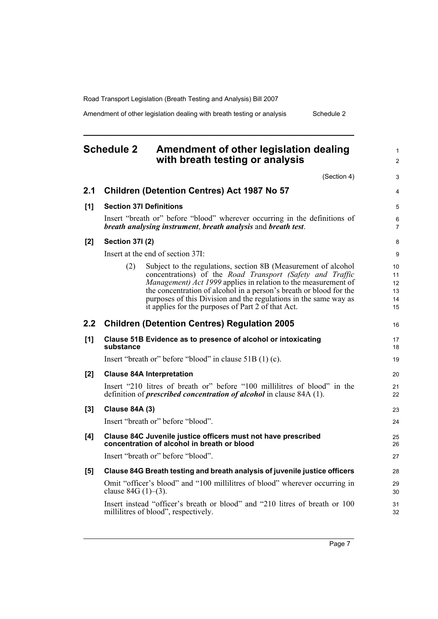Amendment of other legislation dealing with breath testing or analysis Schedule 2

## <span id="page-12-0"></span>**Schedule 2 Amendment of other legislation dealing with breath testing or analysis**

(Section 4)

1 2

|     |                        | (Section 4)                                                                                                                                                                                                                                                                                                                                                                                   | 3                                |
|-----|------------------------|-----------------------------------------------------------------------------------------------------------------------------------------------------------------------------------------------------------------------------------------------------------------------------------------------------------------------------------------------------------------------------------------------|----------------------------------|
| 2.1 |                        | <b>Children (Detention Centres) Act 1987 No 57</b>                                                                                                                                                                                                                                                                                                                                            | $\overline{4}$                   |
| [1] |                        | <b>Section 37I Definitions</b>                                                                                                                                                                                                                                                                                                                                                                | 5                                |
|     |                        | Insert "breath or" before "blood" wherever occurring in the definitions of<br>breath analysing instrument, breath analysis and breath test.                                                                                                                                                                                                                                                   | 6<br>$\overline{7}$              |
| [2] | <b>Section 371 (2)</b> |                                                                                                                                                                                                                                                                                                                                                                                               | 8                                |
|     |                        | Insert at the end of section 37I:                                                                                                                                                                                                                                                                                                                                                             | 9                                |
|     | (2)                    | Subject to the regulations, section 8B (Measurement of alcohol<br>concentrations) of the Road Transport (Safety and Traffic<br>Management) Act 1999 applies in relation to the measurement of<br>the concentration of alcohol in a person's breath or blood for the<br>purposes of this Division and the regulations in the same way as<br>it applies for the purposes of Part 2 of that Act. | 10<br>11<br>12<br>13<br>14<br>15 |
| 2.2 |                        | <b>Children (Detention Centres) Regulation 2005</b>                                                                                                                                                                                                                                                                                                                                           | 16                               |
| [1] | substance              | Clause 51B Evidence as to presence of alcohol or intoxicating                                                                                                                                                                                                                                                                                                                                 | 17<br>18                         |
|     |                        | Insert "breath or" before "blood" in clause 51B (1) (c).                                                                                                                                                                                                                                                                                                                                      | 19                               |
| [2] |                        | <b>Clause 84A Interpretation</b>                                                                                                                                                                                                                                                                                                                                                              | 20                               |
|     |                        | Insert "210 litres of breath or" before "100 millilitres of blood" in the<br>definition of <i>prescribed concentration of alcohol</i> in clause 84A (1).                                                                                                                                                                                                                                      | 21<br>22                         |
| [3] | <b>Clause 84A (3)</b>  |                                                                                                                                                                                                                                                                                                                                                                                               | 23                               |
|     |                        | Insert "breath or" before "blood".                                                                                                                                                                                                                                                                                                                                                            | 24                               |
| [4] |                        | Clause 84C Juvenile justice officers must not have prescribed<br>concentration of alcohol in breath or blood                                                                                                                                                                                                                                                                                  | 25<br>26                         |
|     |                        | Insert "breath or" before "blood".                                                                                                                                                                                                                                                                                                                                                            | 27                               |
| [5] |                        | Clause 84G Breath testing and breath analysis of juvenile justice officers                                                                                                                                                                                                                                                                                                                    | 28                               |
|     | clause $84G (1)–(3)$ . | Omit "officer's blood" and "100 millilitres of blood" wherever occurring in                                                                                                                                                                                                                                                                                                                   | 29<br>30                         |
|     |                        | Insert instead "officer's breath or blood" and "210 litres of breath or 100<br>millilitres of blood", respectively.                                                                                                                                                                                                                                                                           | 31<br>32                         |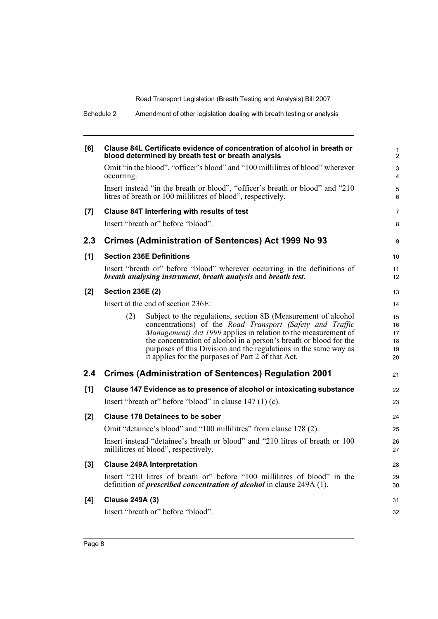| Schedule 2 | Amendment of other legislation dealing with breath testing or analysis                                                                                                                                                                                                                                                                                                                               |                                  |
|------------|------------------------------------------------------------------------------------------------------------------------------------------------------------------------------------------------------------------------------------------------------------------------------------------------------------------------------------------------------------------------------------------------------|----------------------------------|
| [6]        | Clause 84L Certificate evidence of concentration of alcohol in breath or<br>blood determined by breath test or breath analysis                                                                                                                                                                                                                                                                       | 1<br>2                           |
|            | Omit "in the blood", "officer's blood" and "100 millilitres of blood" wherever<br>occurring.                                                                                                                                                                                                                                                                                                         | 3<br>4                           |
|            | Insert instead "in the breath or blood", "officer's breath or blood" and "210<br>litres of breath or 100 millilitres of blood", respectively.                                                                                                                                                                                                                                                        | 5<br>6                           |
| [7]        | Clause 84T Interfering with results of test                                                                                                                                                                                                                                                                                                                                                          | 7                                |
|            | Insert "breath or" before "blood".                                                                                                                                                                                                                                                                                                                                                                   | 8                                |
| 2.3        | Crimes (Administration of Sentences) Act 1999 No 93                                                                                                                                                                                                                                                                                                                                                  | 9                                |
| [1]        | <b>Section 236E Definitions</b>                                                                                                                                                                                                                                                                                                                                                                      | 10 <sup>1</sup>                  |
|            | Insert "breath or" before "blood" wherever occurring in the definitions of<br>breath analysing instrument, breath analysis and breath test.                                                                                                                                                                                                                                                          | 11<br>12                         |
| $[2]$      | <b>Section 236E (2)</b>                                                                                                                                                                                                                                                                                                                                                                              | 13                               |
|            | Insert at the end of section 236E:                                                                                                                                                                                                                                                                                                                                                                   | 14                               |
|            | Subject to the regulations, section 8B (Measurement of alcohol<br>(2)<br>concentrations) of the Road Transport (Safety and Traffic<br>Management) Act 1999 applies in relation to the measurement of<br>the concentration of alcohol in a person's breath or blood for the<br>purposes of this Division and the regulations in the same way as<br>it applies for the purposes of Part 2 of that Act. | 15<br>16<br>17<br>18<br>19<br>20 |
| 2.4        | <b>Crimes (Administration of Sentences) Regulation 2001</b>                                                                                                                                                                                                                                                                                                                                          | 21                               |
| [1]        | Clause 147 Evidence as to presence of alcohol or intoxicating substance                                                                                                                                                                                                                                                                                                                              | 22                               |
|            | Insert "breath or" before "blood" in clause $147(1)(c)$ .                                                                                                                                                                                                                                                                                                                                            | 23                               |
| [2]        | <b>Clause 178 Detainees to be sober</b>                                                                                                                                                                                                                                                                                                                                                              | 24                               |
|            | Omit "detainee's blood" and "100 millilitres" from clause 178 (2).                                                                                                                                                                                                                                                                                                                                   | 25                               |
|            | Insert instead "detainee's breath or blood" and "210 litres of breath or 100<br>millilitres of blood", respectively.                                                                                                                                                                                                                                                                                 | 26<br>27                         |
| $[3]$      | <b>Clause 249A Interpretation</b>                                                                                                                                                                                                                                                                                                                                                                    | 28                               |
|            | Insert "210 litres of breath or" before "100 millilitres of blood" in the<br>definition of <i>prescribed concentration of alcohol</i> in clause 249A (1).                                                                                                                                                                                                                                            | 29<br>30                         |
| [4]        | <b>Clause 249A (3)</b>                                                                                                                                                                                                                                                                                                                                                                               | 31                               |
|            | Insert "breath or" before "blood".                                                                                                                                                                                                                                                                                                                                                                   | 32                               |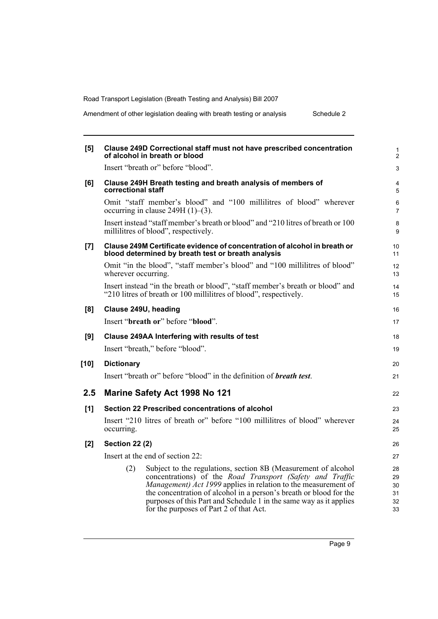Amendment of other legislation dealing with breath testing or analysis Schedule 2

| [5]                | <b>Clause 249D Correctional staff must not have prescribed concentration</b><br>of alcohol in breath or blood                                                                                                                                                                                                                                                                               |
|--------------------|---------------------------------------------------------------------------------------------------------------------------------------------------------------------------------------------------------------------------------------------------------------------------------------------------------------------------------------------------------------------------------------------|
|                    | Insert "breath or" before "blood".                                                                                                                                                                                                                                                                                                                                                          |
| [6]                | Clause 249H Breath testing and breath analysis of members of<br>correctional staff                                                                                                                                                                                                                                                                                                          |
|                    | Omit "staff member's blood" and "100 millilitres of blood" wherever<br>occurring in clause $249H(1)–(3)$ .                                                                                                                                                                                                                                                                                  |
|                    | Insert instead "staff member's breath or blood" and "210 litres of breath or 100<br>millilitres of blood", respectively.                                                                                                                                                                                                                                                                    |
| $\left[ 7 \right]$ | Clause 249M Certificate evidence of concentration of alcohol in breath or<br>blood determined by breath test or breath analysis                                                                                                                                                                                                                                                             |
|                    | Omit "in the blood", "staff member's blood" and "100 millilitres of blood"<br>wherever occurring.                                                                                                                                                                                                                                                                                           |
|                    | Insert instead "in the breath or blood", "staff member's breath or blood" and<br>"210 litres of breath or 100 millilitres of blood", respectively.                                                                                                                                                                                                                                          |
| [8]                | Clause 249U, heading                                                                                                                                                                                                                                                                                                                                                                        |
|                    | Insert "breath or" before "blood".                                                                                                                                                                                                                                                                                                                                                          |
| [9]                | Clause 249AA Interfering with results of test                                                                                                                                                                                                                                                                                                                                               |
|                    | Insert "breath," before "blood".                                                                                                                                                                                                                                                                                                                                                            |
| $[10]$             | <b>Dictionary</b>                                                                                                                                                                                                                                                                                                                                                                           |
|                    | Insert "breath or" before "blood" in the definition of <i>breath test</i> .                                                                                                                                                                                                                                                                                                                 |
| 2.5                | <b>Marine Safety Act 1998 No 121</b>                                                                                                                                                                                                                                                                                                                                                        |
| [1]                | Section 22 Prescribed concentrations of alcohol                                                                                                                                                                                                                                                                                                                                             |
|                    | Insert "210 litres of breath or" before "100 millilitres of blood" wherever<br>occurring.                                                                                                                                                                                                                                                                                                   |
| [2]                | <b>Section 22 (2)</b>                                                                                                                                                                                                                                                                                                                                                                       |
|                    | Insert at the end of section 22:                                                                                                                                                                                                                                                                                                                                                            |
|                    | (2)<br>Subject to the regulations, section 8B (Measurement of alcohol<br>concentrations) of the Road Transport (Safety and Traffic<br>Management) Act 1999 applies in relation to the measurement of<br>the concentration of alcohol in a person's breath or blood for the<br>purposes of this Part and Schedule 1 in the same way as it applies<br>for the purposes of Part 2 of that Act. |
|                    |                                                                                                                                                                                                                                                                                                                                                                                             |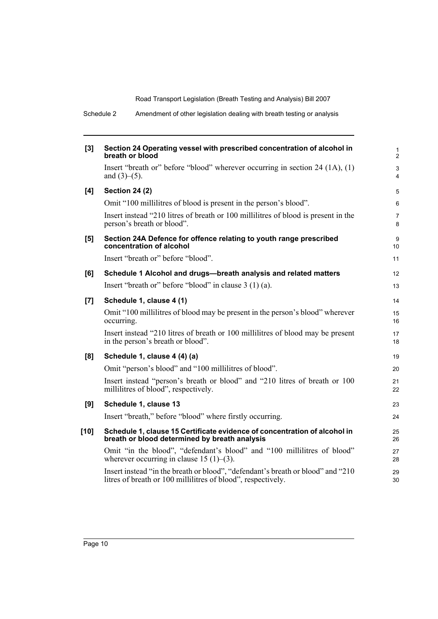Schedule 2 Amendment of other legislation dealing with breath testing or analysis

| $[3]$ | Section 24 Operating vessel with prescribed concentration of alcohol in<br>breath or blood                                                      | $\mathbf{1}$<br>$\overline{2}$              |
|-------|-------------------------------------------------------------------------------------------------------------------------------------------------|---------------------------------------------|
|       | Insert "breath or" before "blood" wherever occurring in section $24$ (1A), (1)<br>and $(3)–(5)$ .                                               | $\ensuremath{\mathsf{3}}$<br>$\overline{4}$ |
| [4]   | <b>Section 24 (2)</b>                                                                                                                           | $\mathbf 5$                                 |
|       | Omit "100 millilitres of blood is present in the person's blood".                                                                               | 6                                           |
|       | Insert instead "210 litres of breath or 100 millilitres of blood is present in the<br>person's breath or blood".                                | 7<br>8                                      |
| [5]   | Section 24A Defence for offence relating to youth range prescribed<br>concentration of alcohol                                                  | $\boldsymbol{9}$<br>10                      |
|       | Insert "breath or" before "blood".                                                                                                              | 11                                          |
| [6]   | Schedule 1 Alcohol and drugs-breath analysis and related matters                                                                                | 12                                          |
|       | Insert "breath or" before "blood" in clause $3(1)(a)$ .                                                                                         | 13                                          |
| [7]   | Schedule 1, clause 4 (1)                                                                                                                        | 14                                          |
|       | Omit "100 millilitres of blood may be present in the person's blood" wherever<br>occurring.                                                     | 15<br>16                                    |
|       | Insert instead "210 litres of breath or 100 millilitres of blood may be present<br>in the person's breath or blood".                            | 17<br>18                                    |
| [8]   | Schedule 1, clause 4 (4) (a)                                                                                                                    | 19                                          |
|       | Omit "person's blood" and "100 millilitres of blood".                                                                                           | 20                                          |
|       | Insert instead "person's breath or blood" and "210 litres of breath or 100<br>millilitres of blood", respectively.                              | 21<br>22                                    |
| [9]   | Schedule 1, clause 13                                                                                                                           | 23                                          |
|       | Insert "breath," before "blood" where firstly occurring.                                                                                        | 24                                          |
| [10]  | Schedule 1, clause 15 Certificate evidence of concentration of alcohol in<br>breath or blood determined by breath analysis                      | 25<br>26                                    |
|       | Omit "in the blood", "defendant's blood" and "100 millilitres of blood"<br>wherever occurring in clause 15 $(1)$ – $(3)$ .                      | 27<br>28                                    |
|       | Insert instead "in the breath or blood", "defendant's breath or blood" and "210<br>litres of breath or 100 millilitres of blood", respectively. | 29<br>30                                    |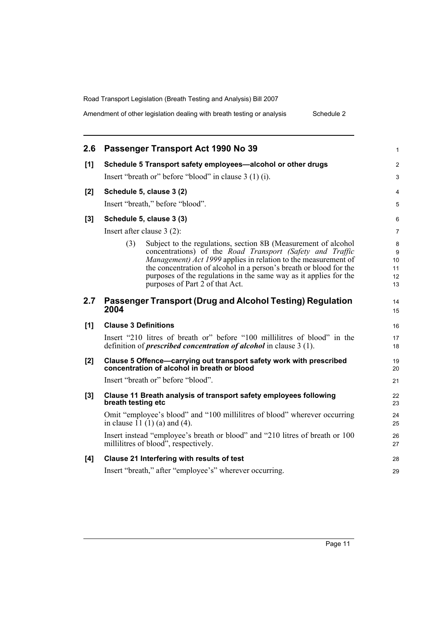Amendment of other legislation dealing with breath testing or analysis Schedule 2

| 2.6   | Passenger Transport Act 1990 No 39                                                                                                                                                                                                                                                                                                              | $\mathbf{1}$             |
|-------|-------------------------------------------------------------------------------------------------------------------------------------------------------------------------------------------------------------------------------------------------------------------------------------------------------------------------------------------------|--------------------------|
| [1]   | Schedule 5 Transport safety employees-alcohol or other drugs                                                                                                                                                                                                                                                                                    | $\overline{2}$           |
|       | Insert "breath or" before "blood" in clause 3 (1) (i).                                                                                                                                                                                                                                                                                          | $\mathfrak{S}$           |
| [2]   | Schedule 5, clause 3 (2)                                                                                                                                                                                                                                                                                                                        | $\overline{4}$           |
|       | Insert "breath," before "blood".                                                                                                                                                                                                                                                                                                                | $\sqrt{5}$               |
| $[3]$ | Schedule 5, clause 3 (3)                                                                                                                                                                                                                                                                                                                        | 6                        |
|       | Insert after clause 3 (2):                                                                                                                                                                                                                                                                                                                      | 7                        |
|       | Subject to the regulations, section 8B (Measurement of alcohol<br>(3)<br>concentrations) of the Road Transport (Safety and Traffic<br>Management) Act 1999 applies in relation to the measurement of<br>the concentration of alcohol in a person's breath or blood for the<br>purposes of the regulations in the same way as it applies for the | 8<br>9<br>10<br>11<br>12 |
|       | purposes of Part 2 of that Act.                                                                                                                                                                                                                                                                                                                 | 13                       |
| 2.7   | Passenger Transport (Drug and Alcohol Testing) Regulation<br>2004                                                                                                                                                                                                                                                                               | 14<br>15                 |
| [1]   | <b>Clause 3 Definitions</b>                                                                                                                                                                                                                                                                                                                     | 16                       |
|       | Insert "210 litres of breath or" before "100 millilitres of blood" in the<br>definition of <i>prescribed concentration of alcohol</i> in clause 3 (1).                                                                                                                                                                                          | 17<br>18                 |
| $[2]$ | Clause 5 Offence-carrying out transport safety work with prescribed<br>concentration of alcohol in breath or blood                                                                                                                                                                                                                              | 19<br>20                 |
|       | Insert "breath or" before "blood".                                                                                                                                                                                                                                                                                                              | 21                       |
| $[3]$ | Clause 11 Breath analysis of transport safety employees following<br>breath testing etc                                                                                                                                                                                                                                                         | 22<br>23                 |
|       | Omit "employee's blood" and "100 millilitres of blood" wherever occurring<br>in clause $(1)(1)(a)$ and $(4)$ .                                                                                                                                                                                                                                  | 24<br>25                 |
|       | Insert instead "employee's breath or blood" and "210 litres of breath or 100<br>millilitres of blood", respectively.                                                                                                                                                                                                                            | 26<br>27                 |
| [4]   | Clause 21 Interfering with results of test                                                                                                                                                                                                                                                                                                      | 28                       |
|       | Insert "breath," after "employee's" wherever occurring.                                                                                                                                                                                                                                                                                         | 29                       |
|       |                                                                                                                                                                                                                                                                                                                                                 |                          |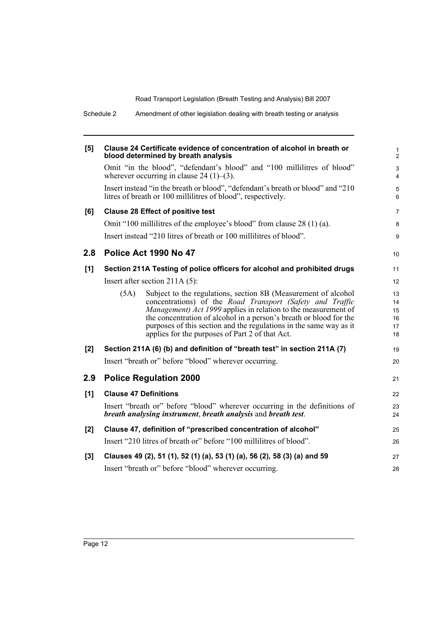|       | Schedule 2 | Amendment of other legislation dealing with breath testing or analysis                                                                          |          |
|-------|------------|-------------------------------------------------------------------------------------------------------------------------------------------------|----------|
| [5]   |            | Clause 24 Certificate evidence of concentration of alcohol in breath or<br>blood determined by breath analysis                                  |          |
|       |            | Omit "in the blood", "defendant's blood" and "100 millilitres of blood"<br>wherever occurring in clause 24 $(1)$ – $(3)$ .                      |          |
|       |            | Insert instead "in the breath or blood", "defendant's breath or blood" and "210<br>litres of breath or 100 millilitres of blood", respectively. |          |
| [6]   |            | <b>Clause 28 Effect of positive test</b>                                                                                                        |          |
|       |            | Omit "100 millilitres of the employee's blood" from clause 28 (1) (a).                                                                          |          |
|       |            | Insert instead "210 litres of breath or 100 millilitres of blood".                                                                              |          |
| 2.8   |            | Police Act 1990 No 47                                                                                                                           | 10       |
| [1]   |            | Section 211A Testing of police officers for alcohol and prohibited drugs                                                                        | 11       |
|       |            | Insert after section $211A(5)$ :                                                                                                                | 12       |
|       | (5A)       | Subject to the regulations, section 8B (Measurement of alcohol                                                                                  | 13       |
|       |            | concentrations) of the Road Transport (Safety and Traffic<br><i>Management) Act 1999</i> applies in relation to the measurement of              | 14<br>15 |
|       |            | the concentration of alcohol in a person's breath or blood for the                                                                              | 16       |
|       |            | purposes of this section and the regulations in the same way as it<br>applies for the purposes of Part 2 of that Act.                           | 17<br>18 |
| [2]   |            | Section 211A (6) (b) and definition of "breath test" in section 211A (7)                                                                        | 19       |
|       |            | Insert "breath or" before "blood" wherever occurring.                                                                                           | 20       |
| 2.9   |            | <b>Police Regulation 2000</b>                                                                                                                   | 21       |
| [1]   |            | <b>Clause 47 Definitions</b>                                                                                                                    | 22       |
|       |            | Insert "breath or" before "blood" wherever occurring in the definitions of                                                                      | 23       |
|       |            | breath analysing instrument, breath analysis and breath test.                                                                                   | 24       |
| [2]   |            | Clause 47, definition of "prescribed concentration of alcohol"                                                                                  | 25       |
|       |            | Insert "210 litres of breath or" before "100 millilitres of blood".                                                                             | 26       |
| $[3]$ |            | Clauses 49 (2), 51 (1), 52 (1) (a), 53 (1) (a), 56 (2), 58 (3) (a) and 59                                                                       | 27       |
|       |            | Insert "breath or" before "blood" wherever occurring.                                                                                           | 28       |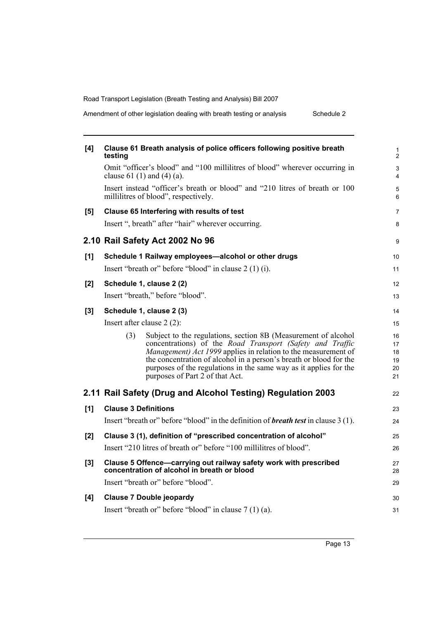Amendment of other legislation dealing with breath testing or analysis Schedule 2

| [4]   | Clause 61 Breath analysis of police officers following positive breath<br>testing                                                                                                                                                                                                                                                                                                         |  |
|-------|-------------------------------------------------------------------------------------------------------------------------------------------------------------------------------------------------------------------------------------------------------------------------------------------------------------------------------------------------------------------------------------------|--|
|       | Omit "officer's blood" and "100 millilitres of blood" wherever occurring in<br>clause 61 (1) and (4) (a).                                                                                                                                                                                                                                                                                 |  |
|       | Insert instead "officer's breath or blood" and "210 litres of breath or 100<br>millilitres of blood", respectively.                                                                                                                                                                                                                                                                       |  |
| [5]   | Clause 65 Interfering with results of test                                                                                                                                                                                                                                                                                                                                                |  |
|       | Insert ", breath" after "hair" wherever occurring.                                                                                                                                                                                                                                                                                                                                        |  |
|       | 2.10 Rail Safety Act 2002 No 96                                                                                                                                                                                                                                                                                                                                                           |  |
| [1]   | Schedule 1 Railway employees-alcohol or other drugs                                                                                                                                                                                                                                                                                                                                       |  |
|       | Insert "breath or" before "blood" in clause $2(1)(i)$ .                                                                                                                                                                                                                                                                                                                                   |  |
| [2]   | Schedule 1, clause 2 (2)                                                                                                                                                                                                                                                                                                                                                                  |  |
|       | Insert "breath," before "blood".                                                                                                                                                                                                                                                                                                                                                          |  |
| $[3]$ | Schedule 1, clause 2 (3)                                                                                                                                                                                                                                                                                                                                                                  |  |
|       | Insert after clause $2(2)$ :                                                                                                                                                                                                                                                                                                                                                              |  |
|       | Subject to the regulations, section 8B (Measurement of alcohol<br>(3)<br>concentrations) of the Road Transport (Safety and Traffic<br><i>Management) Act 1999</i> applies in relation to the measurement of<br>the concentration of alcohol in a person's breath or blood for the<br>purposes of the regulations in the same way as it applies for the<br>purposes of Part 2 of that Act. |  |
|       | 2.11 Rail Safety (Drug and Alcohol Testing) Regulation 2003                                                                                                                                                                                                                                                                                                                               |  |
| [1]   | <b>Clause 3 Definitions</b>                                                                                                                                                                                                                                                                                                                                                               |  |
|       | Insert "breath or" before "blood" in the definition of <b>breath test</b> in clause 3 (1).                                                                                                                                                                                                                                                                                                |  |
| [2]   | Clause 3 (1), definition of "prescribed concentration of alcohol"                                                                                                                                                                                                                                                                                                                         |  |
|       | Insert "210 litres of breath or" before "100 millilitres of blood".                                                                                                                                                                                                                                                                                                                       |  |
| $[3]$ | Clause 5 Offence-carrying out railway safety work with prescribed<br>concentration of alcohol in breath or blood                                                                                                                                                                                                                                                                          |  |
|       | Insert "breath or" before "blood".                                                                                                                                                                                                                                                                                                                                                        |  |
| [4]   | <b>Clause 7 Double jeopardy</b>                                                                                                                                                                                                                                                                                                                                                           |  |
|       | Insert "breath or" before "blood" in clause $7(1)(a)$ .                                                                                                                                                                                                                                                                                                                                   |  |
|       |                                                                                                                                                                                                                                                                                                                                                                                           |  |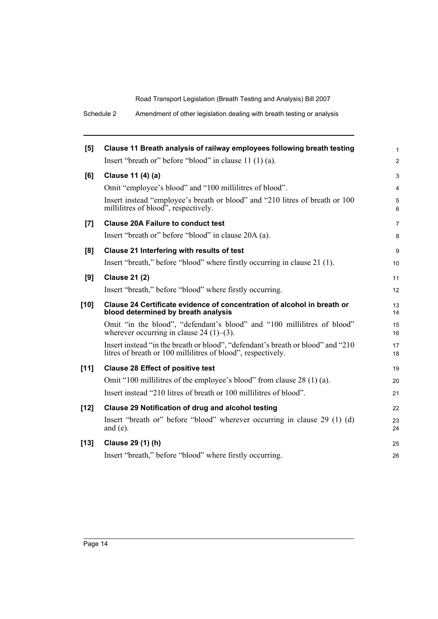Schedule 2 Amendment of other legislation dealing with breath testing or analysis

| [5]                | Clause 11 Breath analysis of railway employees following breath testing                                                                         | $\mathbf{1}$    |
|--------------------|-------------------------------------------------------------------------------------------------------------------------------------------------|-----------------|
|                    | Insert "breath or" before "blood" in clause $11(1)(a)$ .                                                                                        | 2               |
| [6]                | Clause 11 (4) (a)                                                                                                                               | $\mathfrak{S}$  |
|                    | Omit "employee's blood" and "100 millilitres of blood".                                                                                         | $\overline{4}$  |
|                    | Insert instead "employee's breath or blood" and "210 litres of breath or 100<br>millilitres of blood", respectively.                            | $\sqrt{5}$<br>6 |
| $\left[ 7 \right]$ | <b>Clause 20A Failure to conduct test</b>                                                                                                       | $\overline{7}$  |
|                    | Insert "breath or" before "blood" in clause 20A (a).                                                                                            | 8               |
| [8]                | Clause 21 Interfering with results of test                                                                                                      | 9               |
|                    | Insert "breath," before "blood" where firstly occurring in clause 21 (1).                                                                       | 10              |
| [9]                | <b>Clause 21 (2)</b>                                                                                                                            | 11              |
|                    | Insert "breath," before "blood" where firstly occurring.                                                                                        | 12              |
| $[10]$             | Clause 24 Certificate evidence of concentration of alcohol in breath or<br>blood determined by breath analysis                                  | 13<br>14        |
|                    | Omit "in the blood", "defendant's blood" and "100 millilitres of blood"<br>wherever occurring in clause 24 $(1)$ – $(3)$ .                      | 15<br>16        |
|                    | Insert instead "in the breath or blood", "defendant's breath or blood" and "210<br>litres of breath or 100 millilitres of blood", respectively. | 17<br>18        |
| [11]               | <b>Clause 28 Effect of positive test</b>                                                                                                        | 19              |
|                    | Omit "100 millilitres of the employee's blood" from clause 28 (1) (a).                                                                          | 20              |
|                    | Insert instead "210 litres of breath or 100 millilitres of blood".                                                                              | 21              |
| $[12]$             | <b>Clause 29 Notification of drug and alcohol testing</b>                                                                                       | 22              |
|                    | Insert "breath or" before "blood" wherever occurring in clause 29 (1) (d)<br>and $(e)$ .                                                        | 23<br>24        |
| $[13]$             | Clause 29 (1) (h)                                                                                                                               | 25              |
|                    | Insert "breath," before "blood" where firstly occurring.                                                                                        | 26              |
|                    |                                                                                                                                                 |                 |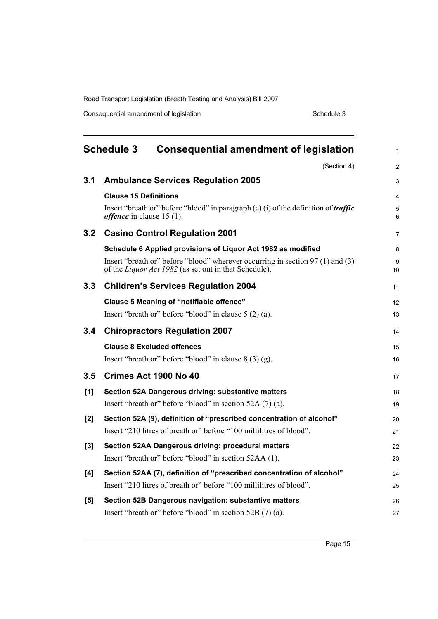Consequential amendment of legislation Schedule 3

<span id="page-20-0"></span>

| <b>Schedule 3</b><br><b>Consequential amendment of legislation</b> |                                                                                                                                                | 1              |
|--------------------------------------------------------------------|------------------------------------------------------------------------------------------------------------------------------------------------|----------------|
|                                                                    | (Section 4)                                                                                                                                    | $\overline{c}$ |
| 3.1                                                                | <b>Ambulance Services Regulation 2005</b>                                                                                                      | 3              |
|                                                                    | <b>Clause 15 Definitions</b>                                                                                                                   | 4              |
|                                                                    | Insert "breath or" before "blood" in paragraph $(c)$ (i) of the definition of <i>traffic</i><br><i>offence</i> in clause $15(1)$ .             | 5<br>6         |
| 3.2                                                                | <b>Casino Control Regulation 2001</b>                                                                                                          | 7              |
|                                                                    | Schedule 6 Applied provisions of Liquor Act 1982 as modified                                                                                   | 8              |
|                                                                    | Insert "breath or" before "blood" wherever occurring in section 97 (1) and (3)<br>of the <i>Liquor Act 1982</i> (as set out in that Schedule). | 9<br>10        |
| 3.3                                                                | <b>Children's Services Regulation 2004</b>                                                                                                     | 11             |
|                                                                    | <b>Clause 5 Meaning of "notifiable offence"</b>                                                                                                | 12             |
|                                                                    | Insert "breath or" before "blood" in clause $5(2)(a)$ .                                                                                        | 13             |
| 3.4                                                                | <b>Chiropractors Regulation 2007</b>                                                                                                           | 14             |
|                                                                    | <b>Clause 8 Excluded offences</b>                                                                                                              | 15             |
|                                                                    | Insert "breath or" before "blood" in clause $8(3)(g)$ .                                                                                        | 16             |
| 3.5                                                                | Crimes Act 1900 No 40                                                                                                                          | 17             |
| [1]                                                                | Section 52A Dangerous driving: substantive matters                                                                                             | 18             |
|                                                                    | Insert "breath or" before "blood" in section 52A (7) (a).                                                                                      | 19             |
| [2]                                                                | Section 52A (9), definition of "prescribed concentration of alcohol"                                                                           | 20             |
|                                                                    | Insert "210 litres of breath or" before "100 millilitres of blood".                                                                            | 21             |
| [3]                                                                | Section 52AA Dangerous driving: procedural matters                                                                                             | 22             |
|                                                                    | Insert "breath or" before "blood" in section 52AA (1).                                                                                         | 23             |
| [4]                                                                | Section 52AA (7), definition of "prescribed concentration of alcohol"                                                                          | 24             |
|                                                                    | Insert "210 litres of breath or" before "100 millilitres of blood".                                                                            | 25             |
| [5]                                                                | Section 52B Dangerous navigation: substantive matters                                                                                          | 26             |
|                                                                    | Insert "breath or" before "blood" in section 52B (7) (a).                                                                                      | 27             |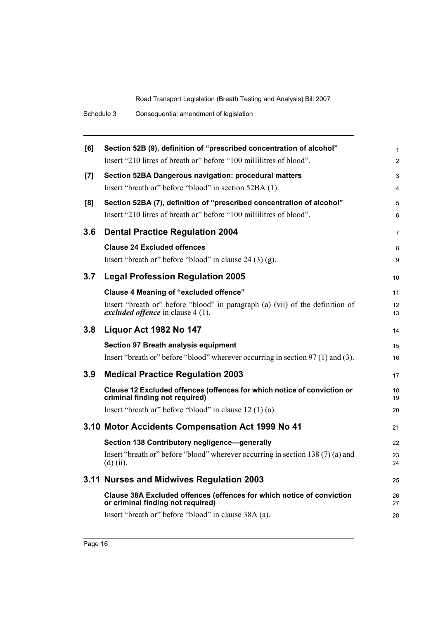| [6] | Section 52B (9), definition of "prescribed concentration of alcohol"                                               | $\mathbf{1}$   |
|-----|--------------------------------------------------------------------------------------------------------------------|----------------|
|     | Insert "210 litres of breath or" before "100 millilitres of blood".                                                | $\overline{2}$ |
| [7] | Section 52BA Dangerous navigation: procedural matters                                                              | 3              |
|     | Insert "breath or" before "blood" in section 52BA (1).                                                             | 4              |
| [8] | Section 52BA (7), definition of "prescribed concentration of alcohol"                                              | 5              |
|     | Insert "210 litres of breath or" before "100 millilitres of blood".                                                | 6              |
| 3.6 | <b>Dental Practice Regulation 2004</b>                                                                             | $\overline{7}$ |
|     | <b>Clause 24 Excluded offences</b>                                                                                 | 8              |
|     | Insert "breath or" before "blood" in clause 24 (3) (g).                                                            | 9              |
| 3.7 | <b>Legal Profession Regulation 2005</b>                                                                            | 10             |
|     | <b>Clause 4 Meaning of "excluded offence"</b>                                                                      | 11             |
|     | Insert "breath or" before "blood" in paragraph (a) (vii) of the definition of<br>excluded offence in clause 4 (1). | 12<br>13       |
| 3.8 | Liquor Act 1982 No 147                                                                                             | 14             |
|     | Section 97 Breath analysis equipment                                                                               | 15             |
|     | Insert "breath or" before "blood" wherever occurring in section 97 (1) and (3).                                    | 16             |
| 3.9 | <b>Medical Practice Regulation 2003</b>                                                                            | 17             |
|     | Clause 12 Excluded offences (offences for which notice of conviction or<br>criminal finding not required)          | 18<br>19       |
|     | Insert "breath or" before "blood" in clause 12 (1) (a).                                                            | 20             |
|     | 3.10 Motor Accidents Compensation Act 1999 No 41                                                                   | 21             |
|     | Section 138 Contributory negligence-generally                                                                      | 22             |
|     | Insert "breath or" before "blood" wherever occurring in section 138(7)(a) and<br>$(d)$ (ii).                       | 23<br>24       |
|     | 3.11 Nurses and Midwives Regulation 2003                                                                           | 25             |
|     | Clause 38A Excluded offences (offences for which notice of conviction<br>or criminal finding not required)         | 26<br>27       |
|     | Insert "breath or" before "blood" in clause 38A (a).                                                               | 28             |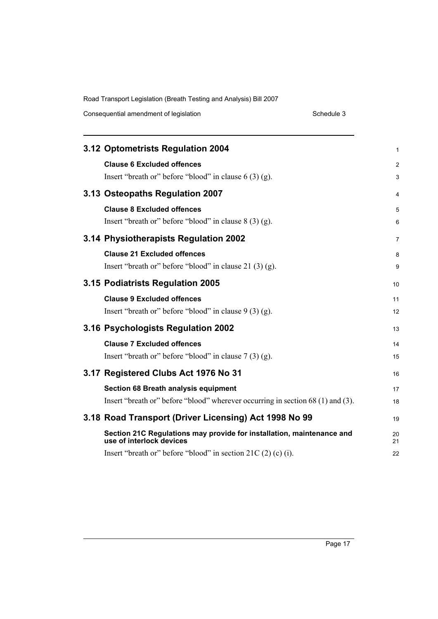|  | Consequential amendment of legislation |
|--|----------------------------------------|
|--|----------------------------------------|

Schedule 3

| 3.12 Optometrists Regulation 2004                                                                                       | 1              |
|-------------------------------------------------------------------------------------------------------------------------|----------------|
| <b>Clause 6 Excluded offences</b><br>Insert "breath or" before "blood" in clause $6(3)(g)$ .                            | 2<br>3         |
| 3.13 Osteopaths Regulation 2007                                                                                         | 4              |
| <b>Clause 8 Excluded offences</b><br>Insert "breath or" before "blood" in clause $8(3)(g)$ .                            | 5<br>6         |
| 3.14 Physiotherapists Regulation 2002                                                                                   | $\overline{7}$ |
| <b>Clause 21 Excluded offences</b><br>Insert "breath or" before "blood" in clause $21(3)(g)$ .                          | 8<br>9         |
| 3.15 Podiatrists Regulation 2005                                                                                        | 10             |
| <b>Clause 9 Excluded offences</b><br>Insert "breath or" before "blood" in clause $9(3)(g)$ .                            | 11<br>12       |
| 3.16 Psychologists Regulation 2002                                                                                      | 13             |
| <b>Clause 7 Excluded offences</b><br>Insert "breath or" before "blood" in clause $7(3)(g)$ .                            | 14<br>15       |
| 3.17 Registered Clubs Act 1976 No 31                                                                                    | 16             |
| Section 68 Breath analysis equipment<br>Insert "breath or" before "blood" wherever occurring in section 68 (1) and (3). | 17<br>18       |
| 3.18 Road Transport (Driver Licensing) Act 1998 No 99                                                                   | 19             |
| Section 21C Regulations may provide for installation, maintenance and<br>use of interlock devices                       | 20<br>21       |
| Insert "breath or" before "blood" in section $21C(2)$ (c) (i).                                                          | 22             |